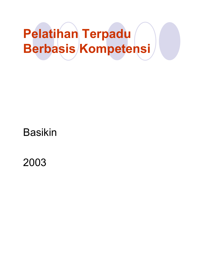# Pelatihan Terpadu Berbasis Kompetensi

#### Basikin

2003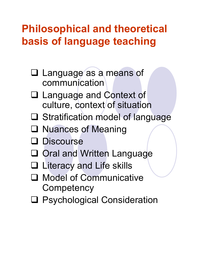#### Philosophical and theoretical basis of language teaching

- □ Language as a means of communication
- Language and Context of culture, context of situation
- **□ Stratification model of language**
- **□ Nuances of Meaning**
- **Q** Discourse
- **□ Oral and Written Language**
- **□ Literacy and Life skills**
- □ Model of Communicative **Competency**
- **Q** Psychological Consideration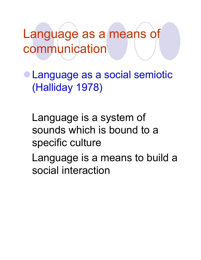Language as a means of communication

-Language as a social semiotic (Halliday 1978)

Language is a system of sounds which is bound to a specific culture

Language is a means to build a social interaction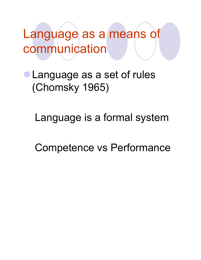Language as a means of communication

-Language as a set of rules (Chomsky 1965)

Language is a formal system

Competence vs Performance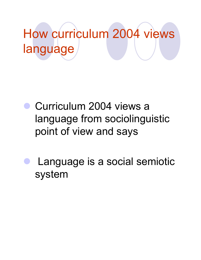# How curriculum 2004 views language

- **Curriculum 2004 views a** language from sociolinguistic point of view and says
- - Language is a social semiotic system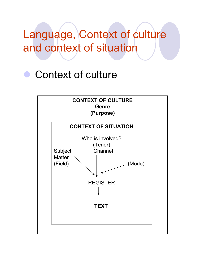## Language, Context of culture and context of situation

### **Context of culture**

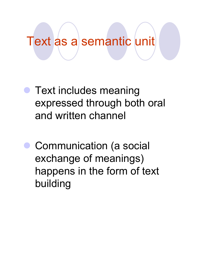## Text as a semantic unit

- **Text includes meaning** expressed through both oral and written channel
- - Communication (a social exchange of meanings) happens in the form of text building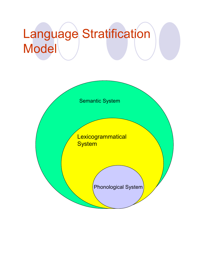# Language Stratification Model

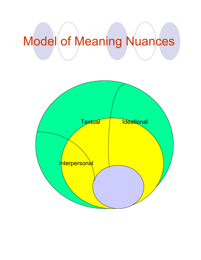# Model of Meaning Nuances

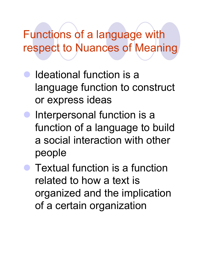Functions of a language with respect to Nuances of Meaning

- - Ideational function is a language function to construct or express ideas
- - Interpersonal function is a function of a language to build a social interaction with other people
- **Textual function is a function** related to how a text is organized and the implication of a certain organization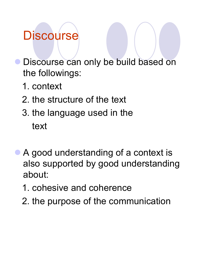## **Discourse**

- Discourse can only be build based on the followings:
	- 1. context
	- 2. the structure of the text
	- 3. the language used in the text
- - A good understanding of a context is also supported by good understanding about:
	- 1. cohesive and coherence
	- 2. the purpose of the communication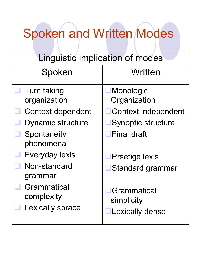# Spoken and Written Modes

| Linguistic implication of modes                      |                                              |  |
|------------------------------------------------------|----------------------------------------------|--|
| Spoken                                               | Written                                      |  |
| Turn taking<br>organization                          | <b>Monologic</b><br>Organization             |  |
| Context dependent                                    | Context independent                          |  |
| Dynamic structure                                    | <b>Synoptic structure</b>                    |  |
| Spontaneity<br>phenomena                             | <b>Final draft</b>                           |  |
| Everyday lexis                                       | <b>Prsetige lexis</b>                        |  |
| Non-standard<br>grammar                              | <b>IStandard grammar</b>                     |  |
| Grammatical<br>complexity<br><b>Lexically sprace</b> | Grammatical<br>simplicity<br>Lexically dense |  |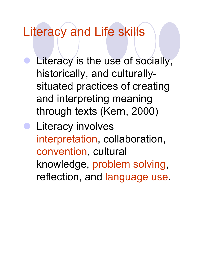## Literacy and Life skills

- **C** Literacy is the use of socially, historically, and culturallysituated practices of creating and interpreting meaning through texts (Kern, 2000)
- **•** Literacy involves interpretation, collaboration, convention, cultural knowledge, problem solving, reflection, and language use.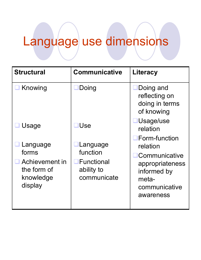# Language use dimensions

| <b>Structural</b>                                                          | <b>Communicative</b>                                                           | <b>Literacy</b>                                                                                                                    |
|----------------------------------------------------------------------------|--------------------------------------------------------------------------------|------------------------------------------------------------------------------------------------------------------------------------|
| Knowing                                                                    | Doing                                                                          | Doing and<br>reflecting on<br>doing in terms<br>of knowing                                                                         |
| Usage                                                                      | <b>IUse</b>                                                                    | Usage/use<br>relation                                                                                                              |
| Language<br>forms<br>Achievement in<br>the form of<br>knowledge<br>display | Language<br>function<br>$\blacksquare$ Functional<br>ability to<br>communicate | <b>IForm-function</b><br>relation<br><b>Communicative</b><br>appropriateness<br>informed by<br>meta-<br>communicative<br>awareness |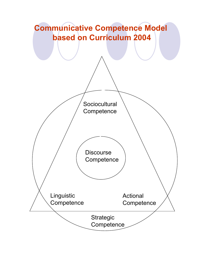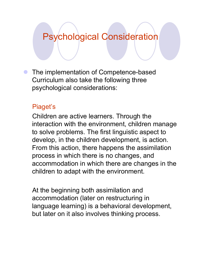#### Psychological Consideration

**• The implementation of Competence-based** Curriculum also take the following three psychological considerations:

#### Piaget's

Children are active learners. Through the interaction with the environment, children manage to solve problems. The first linguistic aspect to develop, in the children development, is action. From this action, there happens the assimilation process in which there is no changes, and accommodation in which there are changes in the children to adapt with the environment.

At the beginning both assimilation and accommodation (later on restructuring in language learning) is a behavioral development, but later on it also involves thinking process.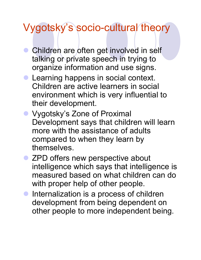### Vygotsky's socio-cultural theory

- **Children are often get involved in self** talking or private speech in trying to organize information and use signs.
- **Learning happens in social context.** Children are active learners in social environment which is very influential to their development.
- **Vygotsky's Zone of Proximal** Development says that children will learn more with the assistance of adults compared to when they learn by themselves.
- ZPD offers new perspective about intelligence which says that intelligence is measured based on what children can do with proper help of other people.
- **Internalization is a process of children** development from being dependent on other people to more independent being.